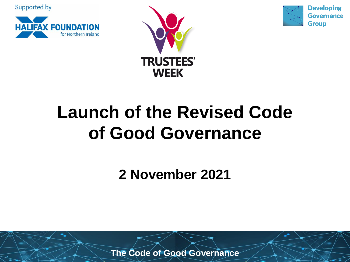Supported by







### **Launch of the Revised Code of Good Governance**

**2 November 2021**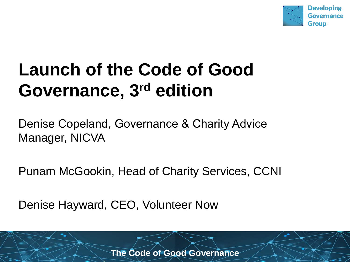

### **Launch of the Code of Good Governance, 3rd edition**

Denise Copeland, Governance & Charity Advice Manager, NICVA

Punam McGookin, Head of Charity Services, CCNI

Denise Hayward, CEO, Volunteer Now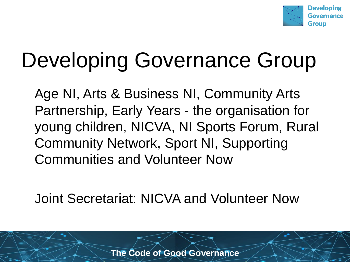

## Developing Governance Group

Age NI, Arts & Business NI, Community Arts Partnership, Early Years - the organisation for young children, NICVA, NI Sports Forum, Rural Community Network, Sport NI, Supporting Communities and Volunteer Now

Joint Secretariat: NICVA and Volunteer Now

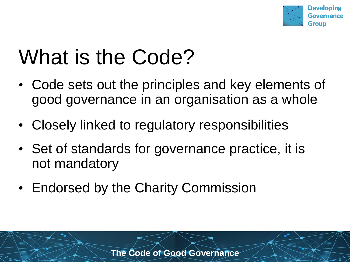

### What is the Code?

- Code sets out the principles and key elements of good governance in an organisation as a whole
- Closely linked to regulatory responsibilities
- Set of standards for governance practice, it is not mandatory
- Endorsed by the Charity Commission

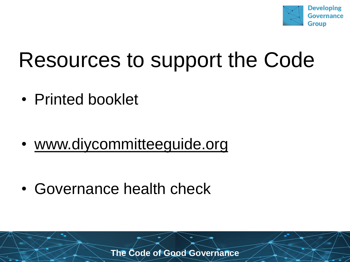

### Resources to support the Code

• Printed booklet

• www.diycommitteeguide.org

• Governance health check

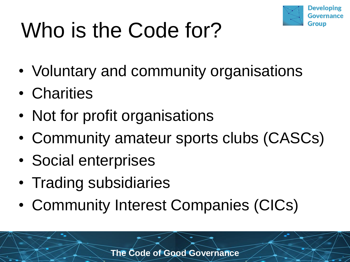

# Who is the Code for?

- Voluntary and community organisations
- Charities
- Not for profit organisations
- Community amateur sports clubs (CASCs)
- Social enterprises
- Trading subsidiaries
- Community Interest Companies (CICs)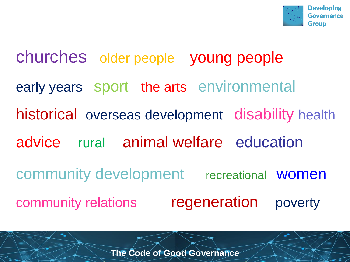

churches older people young people early years sport the arts environmental historical overseas development disability health advice rural animal welfare education community development recreational women community relations regeneration poverty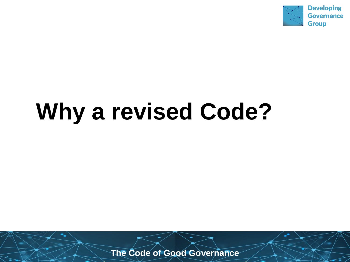

## **Why a revised Code?**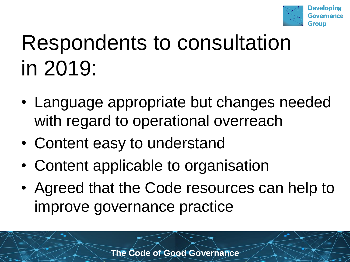

## Respondents to consultation in 2019:

- Language appropriate but changes needed with regard to operational overreach
- Content easy to understand
- Content applicable to organisation
- Agreed that the Code resources can help to improve governance practice

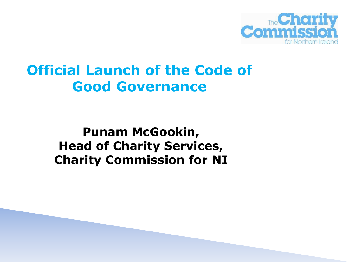

#### **Official Launch of the Code of Good Governance**

#### **Punam McGookin, Head of Charity Services, Charity Commission for NI**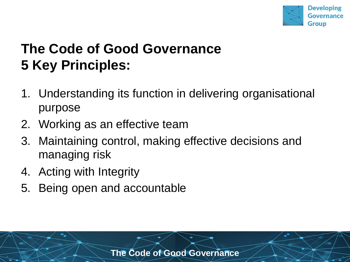

#### **The Code of Good Governance 5 Key Principles:**

- 1. Understanding its function in delivering organisational purpose
- 2. Working as an effective team
- 3. Maintaining control, making effective decisions and managing risk
- 4. Acting with Integrity
- 5. Being open and accountable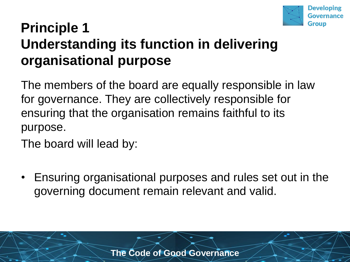

#### **Principle 1 Understanding its function in delivering organisational purpose**

The members of the board are equally responsible in law for governance. They are collectively responsible for ensuring that the organisation remains faithful to its purpose.

The board will lead by:

• Ensuring organisational purposes and rules set out in the governing document remain relevant and valid.

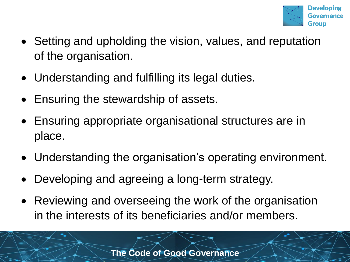

- Setting and upholding the vision, values, and reputation of the organisation.
- Understanding and fulfilling its legal duties.
- Ensuring the stewardship of assets.
- Ensuring appropriate organisational structures are in place.
- Understanding the organisation's operating environment.
- Developing and agreeing a long-term strategy.
- Reviewing and overseeing the work of the organisation in the interests of its beneficiaries and/or members.

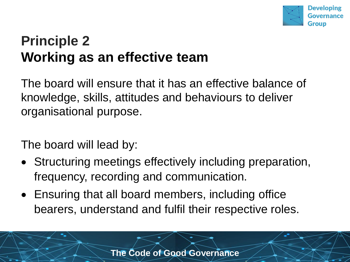

#### **Principle 2 Working as an effective team**

The board will ensure that it has an effective balance of knowledge, skills, attitudes and behaviours to deliver organisational purpose.

The board will lead by:

- Structuring meetings effectively including preparation, frequency, recording and communication.
- Ensuring that all board members, including office bearers, understand and fulfil their respective roles.

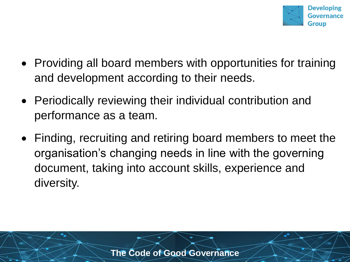

- Providing all board members with opportunities for training and development according to their needs.
- Periodically reviewing their individual contribution and performance as a team.
- Finding, recruiting and retiring board members to meet the organisation's changing needs in line with the governing document, taking into account skills, experience and diversity.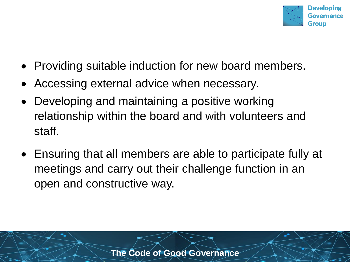

- Providing suitable induction for new board members.
- Accessing external advice when necessary.
- Developing and maintaining a positive working relationship within the board and with volunteers and staff.
- Ensuring that all members are able to participate fully at meetings and carry out their challenge function in an open and constructive way.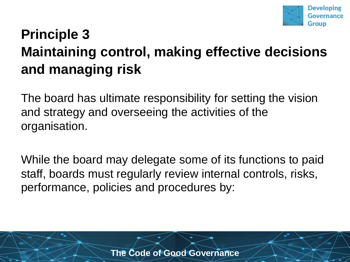

#### **Principle 3 Maintaining control, making effective decisions and managing risk**

The board has ultimate responsibility for setting the vision and strategy and overseeing the activities of the organisation.

While the board may delegate some of its functions to paid staff, boards must regularly review internal controls, risks, performance, policies and procedures by:

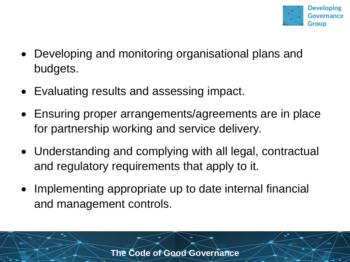

- Developing and monitoring organisational plans and budgets.
- Evaluating results and assessing impact.
- Ensuring proper arrangements/agreements are in place for partnership working and service delivery.
- Understanding and complying with all legal, contractual and regulatory requirements that apply to it.
- Implementing appropriate up to date internal financial and management controls.

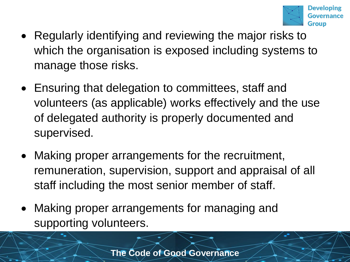

- Regularly identifying and reviewing the major risks to which the organisation is exposed including systems to manage those risks.
- Ensuring that delegation to committees, staff and volunteers (as applicable) works effectively and the use of delegated authority is properly documented and supervised.
- Making proper arrangements for the recruitment, remuneration, supervision, support and appraisal of all staff including the most senior member of staff.
- Making proper arrangements for managing and supporting volunteers.

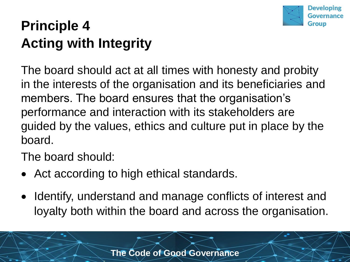

#### **Principle 4 Acting with Integrity**

The board should act at all times with honesty and probity in the interests of the organisation and its beneficiaries and members. The board ensures that the organisation's performance and interaction with its stakeholders are guided by the values, ethics and culture put in place by the board.

The board should:

- Act according to high ethical standards.
- Identify, understand and manage conflicts of interest and loyalty both within the board and across the organisation.

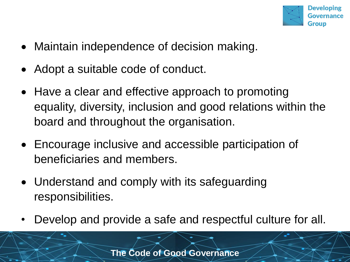

- Maintain independence of decision making.
- Adopt a suitable code of conduct.
- Have a clear and effective approach to promoting equality, diversity, inclusion and good relations within the board and throughout the organisation.
- Encourage inclusive and accessible participation of beneficiaries and members.
- Understand and comply with its safeguarding responsibilities.
- Develop and provide a safe and respectful culture for all.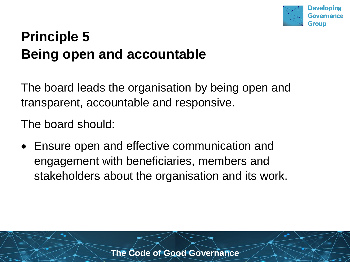

#### **Principle 5 Being open and accountable**

The board leads the organisation by being open and transparent, accountable and responsive.

The board should:

• Ensure open and effective communication and engagement with beneficiaries, members and stakeholders about the organisation and its work.

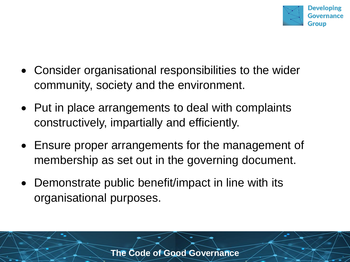

- Consider organisational responsibilities to the wider community, society and the environment.
- Put in place arrangements to deal with complaints constructively, impartially and efficiently.
- Ensure proper arrangements for the management of membership as set out in the governing document.
- Demonstrate public benefit/impact in line with its organisational purposes.

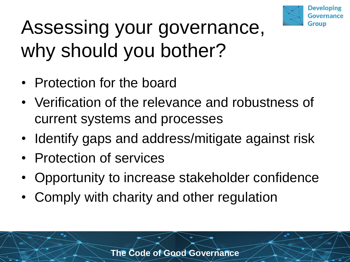

### Assessing your governance, why should you bother?

- Protection for the board
- Verification of the relevance and robustness of current systems and processes
- Identify gaps and address/mitigate against risk
- Protection of services
- Opportunity to increase stakeholder confidence
- Comply with charity and other regulation

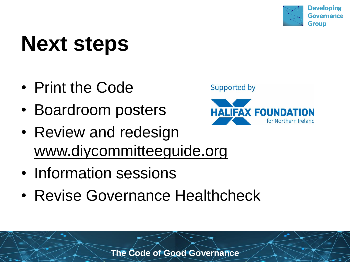

# **Next steps**

- Print the Code
- Boardroom posters
- Review and redesign www.diycommitteeguide.org
- Information sessions
- Revise Governance Healthcheck